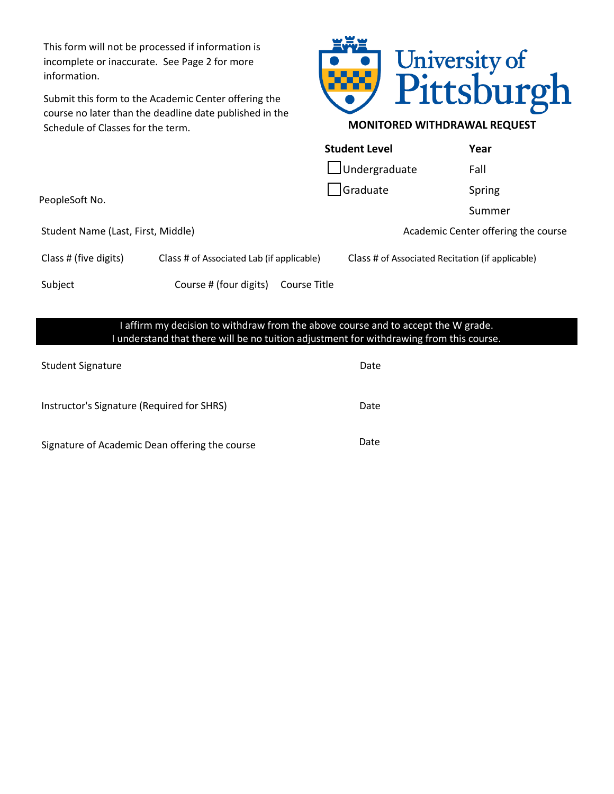This form will not be processed if information is incomplete or inaccurate. See Page 2 for more information.

Submit this form to the Academic Center offering the course no later than the deadline date published in the Schedule of Classes for the term.



## **MONITORED WITHDRAWAL REQUEST**

|                                    |                                           |              | <b>Student Level</b>                             | Year   |
|------------------------------------|-------------------------------------------|--------------|--------------------------------------------------|--------|
|                                    |                                           |              | $\Box$ Undergraduate                             | Fall   |
| PeopleSoft No.                     |                                           | Graduate     |                                                  | Spring |
|                                    |                                           |              |                                                  | Summer |
| Student Name (Last, First, Middle) |                                           |              | Academic Center offering the course              |        |
| Class # (five digits)              | Class # of Associated Lab (if applicable) |              | Class # of Associated Recitation (if applicable) |        |
| Subject                            | Course # (four digits)                    | Course Title |                                                  |        |
|                                    |                                           |              |                                                  |        |

## I affirm my decision to withdraw from the above course and to accept the W grade. I understand that there will be no tuition adjustment for withdrawing from this course.

| <b>Student Signature</b>                       | Date |
|------------------------------------------------|------|
| Instructor's Signature (Required for SHRS)     | Date |
| Signature of Academic Dean offering the course | Date |